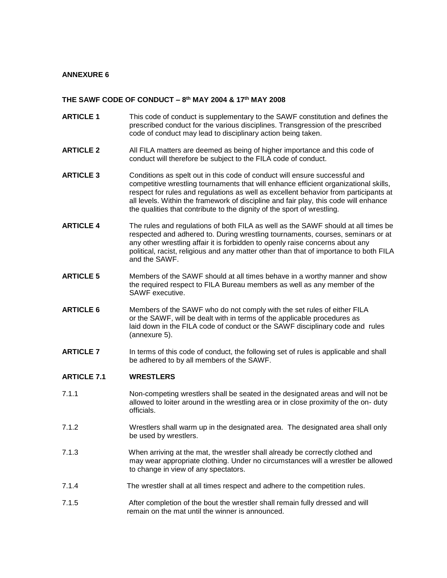## **ANNEXURE 6**

## **THE SAWF CODE OF CONDUCT – 8 th MAY 2004 & 17th MAY 2008**

- **ARTICLE 1** This code of conduct is supplementary to the SAWF constitution and defines the prescribed conduct for the various disciplines. Transgression of the prescribed code of conduct may lead to disciplinary action being taken.
- **ARTICLE 2** All FILA matters are deemed as being of higher importance and this code of conduct will therefore be subject to the FILA code of conduct.
- **ARTICLE 3** Conditions as spelt out in this code of conduct will ensure successful and competitive wrestling tournaments that will enhance efficient organizational skills, respect for rules and regulations as well as excellent behavior from participants at all levels. Within the framework of discipline and fair play, this code will enhance the qualities that contribute to the dignity of the sport of wrestling.
- **ARTICLE 4** The rules and regulations of both FILA as well as the SAWF should at all times be respected and adhered to. During wrestling tournaments, courses, seminars or at any other wrestling affair it is forbidden to openly raise concerns about any political, racist, religious and any matter other than that of importance to both FILA and the SAWF.
- **ARTICLE 5** Members of the SAWF should at all times behave in a worthy manner and show the required respect to FILA Bureau members as well as any member of the SAWF executive.
- **ARTICLE 6** Members of the SAWF who do not comply with the set rules of either FILA or the SAWF, will be dealt with in terms of the applicable procedures as laid down in the FILA code of conduct or the SAWF disciplinary code and rules (annexure 5).
- **ARTICLE 7** In terms of this code of conduct, the following set of rules is applicable and shall be adhered to by all members of the SAWF.

#### **ARTICLE 7.1 WRESTLERS**

- 7.1.1 Non-competing wrestlers shall be seated in the designated areas and will not be allowed to loiter around in the wrestling area or in close proximity of the on- duty officials.
- 7.1.2 Wrestlers shall warm up in the designated area. The designated area shall only be used by wrestlers.
- 7.1.3 When arriving at the mat, the wrestler shall already be correctly clothed and may wear appropriate clothing. Under no circumstances will a wrestler be allowed to change in view of any spectators.
- 7.1.4 The wrestler shall at all times respect and adhere to the competition rules.
- 7.1.5 After completion of the bout the wrestler shall remain fully dressed and will remain on the mat until the winner is announced.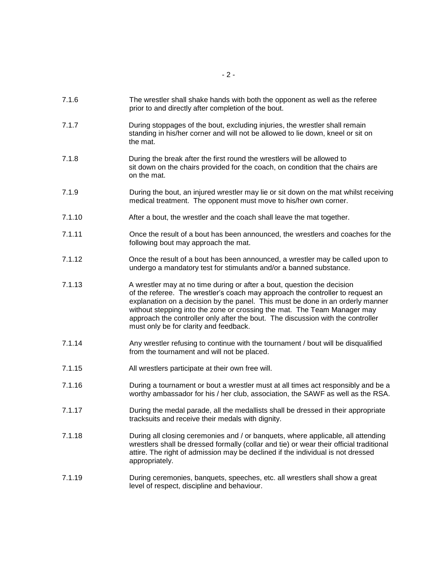- 7.1.7 During stoppages of the bout, excluding injuries, the wrestler shall remain standing in his/her corner and will not be allowed to lie down, kneel or sit on the mat.
- 7.1.8 During the break after the first round the wrestlers will be allowed to sit down on the chairs provided for the coach, on condition that the chairs are on the mat.
- 7.1.9 During the bout, an injured wrestler may lie or sit down on the mat whilst receiving medical treatment. The opponent must move to his/her own corner.
- 7.1.10 After a bout, the wrestler and the coach shall leave the mat together.
- 7.1.11 Once the result of a bout has been announced, the wrestlers and coaches for the following bout may approach the mat.
- 7.1.12 Once the result of a bout has been announced, a wrestler may be called upon to undergo a mandatory test for stimulants and/or a banned substance.
- 7.1.13 A wrestler may at no time during or after a bout, question the decision of the referee. The wrestler's coach may approach the controller to request an explanation on a decision by the panel. This must be done in an orderly manner without stepping into the zone or crossing the mat. The Team Manager may approach the controller only after the bout. The discussion with the controller must only be for clarity and feedback.
- 7.1.14 Any wrestler refusing to continue with the tournament / bout will be disqualified from the tournament and will not be placed.
- 7.1.15 All wrestlers participate at their own free will.
- 7.1.16 During a tournament or bout a wrestler must at all times act responsibly and be a worthy ambassador for his / her club, association, the SAWF as well as the RSA.
- 7.1.17 During the medal parade, all the medallists shall be dressed in their appropriate tracksuits and receive their medals with dignity.
- 7.1.18 During all closing ceremonies and / or banquets, where applicable, all attending wrestlers shall be dressed formally (collar and tie) or wear their official traditional attire. The right of admission may be declined if the individual is not dressed appropriately.
- 7.1.19 During ceremonies, banquets, speeches, etc. all wrestlers shall show a great level of respect, discipline and behaviour.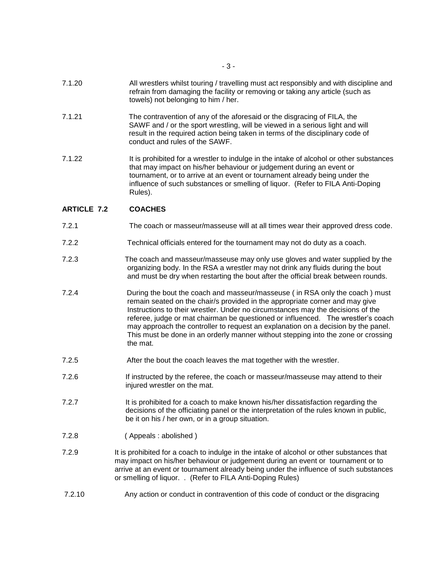- 7.1.20 All wrestlers whilst touring / travelling must act responsibly and with discipline and refrain from damaging the facility or removing or taking any article (such as towels) not belonging to him / her.
- 7.1.21 The contravention of any of the aforesaid or the disgracing of FILA, the SAWF and / or the sport wrestling, will be viewed in a serious light and will result in the required action being taken in terms of the disciplinary code of conduct and rules of the SAWF.
- 7.1.22 It is prohibited for a wrestler to indulge in the intake of alcohol or other substances that may impact on his/her behaviour or judgement during an event or tournament, or to arrive at an event or tournament already being under the influence of such substances or smelling of liquor. (Refer to FILA Anti-Doping Rules).

### **ARTICLE 7.2 COACHES**

- 7.2.1 The coach or masseur/masseuse will at all times wear their approved dress code.
- 7.2.2 Technical officials entered for the tournament may not do duty as a coach.
- 7.2.3 The coach and masseur/masseuse may only use gloves and water supplied by the organizing body. In the RSA a wrestler may not drink any fluids during the bout and must be dry when restarting the bout after the official break between rounds.
- 7.2.4 During the bout the coach and masseur/masseuse ( in RSA only the coach ) must remain seated on the chair/s provided in the appropriate corner and may give Instructions to their wrestler. Under no circumstances may the decisions of the referee, judge or mat chairman be questioned or influenced. The wrestler's coach may approach the controller to request an explanation on a decision by the panel. This must be done in an orderly manner without stepping into the zone or crossing the mat.
- 7.2.5 After the bout the coach leaves the mat together with the wrestler.
- 7.2.6 If instructed by the referee, the coach or masseur/masseuse may attend to their injured wrestler on the mat.
- 7.2.7 It is prohibited for a coach to make known his/her dissatisfaction regarding the decisions of the officiating panel or the interpretation of the rules known in public, be it on his / her own, or in a group situation.
- 7.2.8 ( Appeals : abolished )
- 7.2.9 It is prohibited for a coach to indulge in the intake of alcohol or other substances that may impact on his/her behaviour or judgement during an event or tournament or to arrive at an event or tournament already being under the influence of such substances or smelling of liquor. . (Refer to FILA Anti-Doping Rules)
- 7.2.10 Any action or conduct in contravention of this code of conduct or the disgracing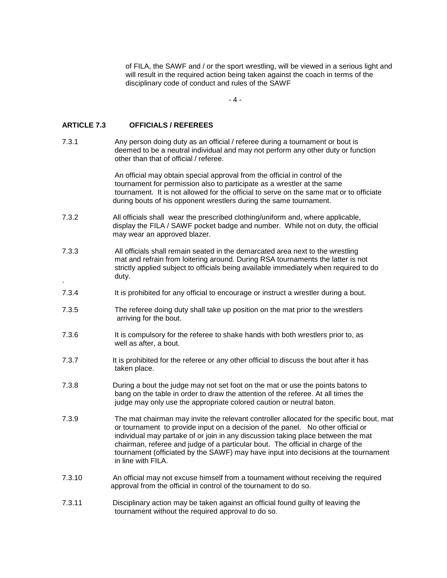of FILA, the SAWF and / or the sport wrestling, will be viewed in a serious light and will result in the required action being taken against the coach in terms of the disciplinary code of conduct and rules of the SAWF

- 4 -

### **ARTICLE 7.3 OFFICIALS / REFEREES**

`

7.3.1 Any person doing duty as an official / referee during a tournament or bout is deemed to be a neutral individual and may not perform any other duty or function other than that of official / referee.

> An official may obtain special approval from the official in control of the tournament for permission also to participate as a wrestler at the same tournament. It is not allowed for the official to serve on the same mat or to officiate during bouts of his opponent wrestlers during the same tournament.

- 7.3.2 All officials shall wear the prescribed clothing/uniform and, where applicable, display the FILA / SAWF pocket badge and number. While not on duty, the official may wear an approved blazer.
- 7.3.3 All officials shall remain seated in the demarcated area next to the wrestling mat and refrain from loitering around. During RSA tournaments the latter is not strictly applied subject to officials being available immediately when required to do duty.
- 7.3.4 It is prohibited for any official to encourage or instruct a wrestler during a bout.
- 7.3.5 The referee doing duty shall take up position on the mat prior to the wrestlers arriving for the bout.
- 7.3.6 It is compulsory for the referee to shake hands with both wrestlers prior to, as well as after, a bout.
- 7.3.7 It is prohibited for the referee or any other official to discuss the bout after it has taken place.
- 7.3.8 During a bout the judge may not set foot on the mat or use the points batons to bang on the table in order to draw the attention of the referee. At all times the judge may only use the appropriate colored caution or neutral baton.
- 7.3.9 The mat chairman may invite the relevant controller allocated for the specific bout, mat or tournament to provide input on a decision of the panel. No other official or individual may partake of or join in any discussion taking place between the mat chairman, referee and judge of a particular bout. The official in charge of the tournament (officiated by the SAWF) may have input into decisions at the tournament in line with FILA.
- 7.3.10 An official may not excuse himself from a tournament without receiving the required approval from the official in control of the tournament to do so.
- 7.3.11 Disciplinary action may be taken against an official found guilty of leaving the tournament without the required approval to do so.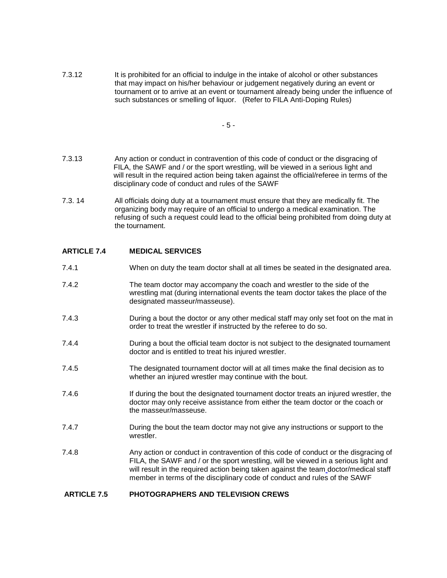7.3.12 It is prohibited for an official to indulge in the intake of alcohol or other substances that may impact on his/her behaviour or judgement negatively during an event or tournament or to arrive at an event or tournament already being under the influence of such substances or smelling of liquor. (Refer to FILA Anti-Doping Rules)

- 5 -

- 7.3.13 Any action or conduct in contravention of this code of conduct or the disgracing of FILA, the SAWF and / or the sport wrestling, will be viewed in a serious light and will result in the required action being taken against the official/referee in terms of the disciplinary code of conduct and rules of the SAWF
- 7.3. 14 All officials doing duty at a tournament must ensure that they are medically fit. The organizing body may require of an official to undergo a medical examination. The refusing of such a request could lead to the official being prohibited from doing duty at the tournament.

## **ARTICLE 7.4 MEDICAL SERVICES**

- 7.4.1 When on duty the team doctor shall at all times be seated in the designated area.
- 7.4.2 The team doctor may accompany the coach and wrestler to the side of the wrestling mat (during international events the team doctor takes the place of the designated masseur/masseuse).
- 7.4.3 During a bout the doctor or any other medical staff may only set foot on the mat in order to treat the wrestler if instructed by the referee to do so.
- 7.4.4 During a bout the official team doctor is not subject to the designated tournament doctor and is entitled to treat his injured wrestler.
- 7.4.5 The designated tournament doctor will at all times make the final decision as to whether an injured wrestler may continue with the bout.
- 7.4.6 **If during the bout the designated tournament doctor treats an injured wrestler, the** doctor may only receive assistance from either the team doctor or the coach or the masseur/masseuse.
- 7.4.7 During the bout the team doctor may not give any instructions or support to the wrestler.
- 7.4.8 Any action or conduct in contravention of this code of conduct or the disgracing of FILA, the SAWF and / or the sport wrestling, will be viewed in a serious light and will result in the required action being taken against the team doctor/medical staff member in terms of the disciplinary code of conduct and rules of the SAWF

### **ARTICLE 7.5 PHOTOGRAPHERS AND TELEVISION CREWS**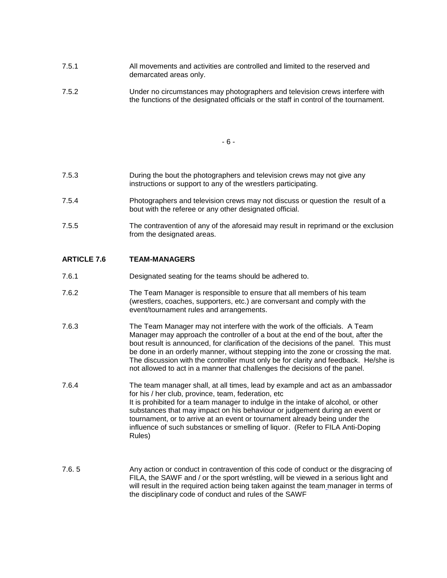- 7.5.1 All movements and activities are controlled and limited to the reserved and demarcated areas only.
- 7.5.2 Under no circumstances may photographers and television crews interfere with the functions of the designated officials or the staff in control of the tournament.

- 6 -

- 7.5.3 During the bout the photographers and television crews may not give any instructions or support to any of the wrestlers participating.
- 7.5.4 Photographers and television crews may not discuss or question the result of a bout with the referee or any other designated official.
- 7.5.5 The contravention of any of the aforesaid may result in reprimand or the exclusion from the designated areas.

### **ARTICLE 7.6 TEAM-MANAGERS**

- 7.6.1 Designated seating for the teams should be adhered to.
- 7.6.2 The Team Manager is responsible to ensure that all members of his team (wrestlers, coaches, supporters, etc.) are conversant and comply with the event/tournament rules and arrangements.
- 7.6.3 The Team Manager may not interfere with the work of the officials. A Team Manager may approach the controller of a bout at the end of the bout, after the bout result is announced, for clarification of the decisions of the panel. This must be done in an orderly manner, without stepping into the zone or crossing the mat. The discussion with the controller must only be for clarity and feedback. He/she is not allowed to act in a manner that challenges the decisions of the panel.
- 7.6.4 The team manager shall, at all times, lead by example and act as an ambassador for his / her club, province, team, federation, etc It is prohibited for a team manager to indulge in the intake of alcohol, or other substances that may impact on his behaviour or judgement during an event or tournament, or to arrive at an event or tournament already being under the influence of such substances or smelling of liquor. (Refer to FILA Anti-Doping Rules)
- 7.6. 5 Any action or conduct in contravention of this code of conduct or the disgracing of FILA, the SAWF and / or the sport wréstling, will be viewed in a serious light and will result in the required action being taken against the team manager in terms of the disciplinary code of conduct and rules of the SAWF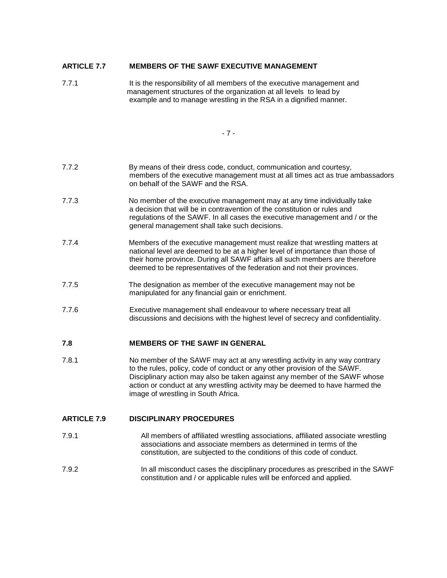## **ARTICLE 7.7 MEMBERS OF THE SAWF EXECUTIVE MANAGEMENT**

7.7.1 **It is the responsibility of all members of the executive management and**  management structures of the organization at all levels to lead by example and to manage wrestling in the RSA in a dignified manner.

- 7 -

- 7.7.2 By means of their dress code, conduct, communication and courtesy, members of the executive management must at all times act as true ambassadors on behalf of the SAWF and the RSA.
- 7.7.3 No member of the executive management may at any time individually take a decision that will be in contravention of the constitution or rules and regulations of the SAWF. In all cases the executive management and / or the general management shall take such decisions.
- 7.7.4 Members of the executive management must realize that wrestling matters at national level are deemed to be at a higher level of importance than those of their home province. During all SAWF affairs all such members are therefore deemed to be representatives of the federation and not their provinces.
- 7.7.5 The designation as member of the executive management may not be manipulated for any financial gain or enrichment.
- 7.7.6 Executive management shall endeavour to where necessary treat all discussions and decisions with the highest level of secrecy and confidentiality.

### **7.8 MEMBERS OF THE SAWF IN GENERAL**

7.8.1 No member of the SAWF may act at any wrestling activity in any way contrary to the rules, policy, code of conduct or any other provision of the SAWF. Disciplinary action may also be taken against any member of the SAWF whose action or conduct at any wrestling activity may be deemed to have harmed the image of wrestling in South Africa.

# **ARTICLE 7.9 DISCIPLINARY PROCEDURES**

- 7.9.1 All members of affiliated wrestling associations, affiliated associate wrestling associations and associate members as determined in terms of the constitution, are subjected to the conditions of this code of conduct.
- 7.9.2 In all misconduct cases the disciplinary procedures as prescribed in the SAWF constitution and / or applicable rules will be enforced and applied.